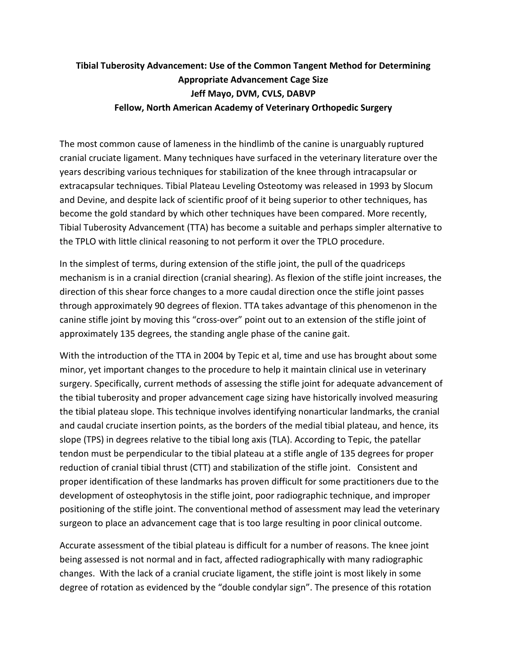## **Tibial Tuberosity Advancement: Use of the Common Tangent Method for Determining Appropriate Advancement Cage Size Jeff Mayo, DVM, CVLS, DABVP Fellow, North American Academy of Veterinary Orthopedic Surgery**

The most common cause of lameness in the hindlimb of the canine is unarguably ruptured cranial cruciate ligament. Many techniques have surfaced in the veterinary literature over the years describing various techniques for stabilization of the knee through intracapsular or extracapsular techniques. Tibial Plateau Leveling Osteotomy was released in 1993 by Slocum and Devine, and despite lack of scientific proof of it being superior to other techniques, has become the gold standard by which other techniques have been compared. More recently, Tibial Tuberosity Advancement (TTA) has become a suitable and perhaps simpler alternative to the TPLO with little clinical reasoning to not perform it over the TPLO procedure.

In the simplest of terms, during extension of the stifle joint, the pull of the quadriceps mechanism is in a cranial direction (cranial shearing). As flexion of the stifle joint increases, the direction of this shear force changes to a more caudal direction once the stifle joint passes through approximately 90 degrees of flexion. TTA takes advantage of this phenomenon in the canine stifle joint by moving this "cross-over" point out to an extension of the stifle joint of approximately 135 degrees, the standing angle phase of the canine gait.

With the introduction of the TTA in 2004 by Tepic et al, time and use has brought about some minor, yet important changes to the procedure to help it maintain clinical use in veterinary surgery. Specifically, current methods of assessing the stifle joint for adequate advancement of the tibial tuberosity and proper advancement cage sizing have historically involved measuring the tibial plateau slope. This technique involves identifying nonarticular landmarks, the cranial and caudal cruciate insertion points, as the borders of the medial tibial plateau, and hence, its slope (TPS) in degrees relative to the tibial long axis (TLA). According to Tepic, the patellar tendon must be perpendicular to the tibial plateau at a stifle angle of 135 degrees for proper reduction of cranial tibial thrust (CTT) and stabilization of the stifle joint. Consistent and proper identification of these landmarks has proven difficult for some practitioners due to the development of osteophytosis in the stifle joint, poor radiographic technique, and improper positioning of the stifle joint. The conventional method of assessment may lead the veterinary surgeon to place an advancement cage that is too large resulting in poor clinical outcome.

Accurate assessment of the tibial plateau is difficult for a number of reasons. The knee joint being assessed is not normal and in fact, affected radiographically with many radiographic changes. With the lack of a cranial cruciate ligament, the stifle joint is most likely in some degree of rotation as evidenced by the "double condylar sign". The presence of this rotation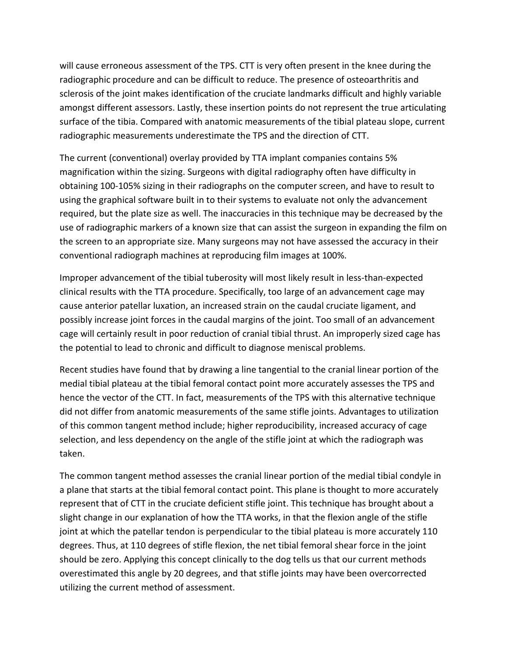will cause erroneous assessment of the TPS. CTT is very often present in the knee during the radiographic procedure and can be difficult to reduce. The presence of osteoarthritis and sclerosis of the joint makes identification of the cruciate landmarks difficult and highly variable amongst different assessors. Lastly, these insertion points do not represent the true articulating surface of the tibia. Compared with anatomic measurements of the tibial plateau slope, current radiographic measurements underestimate the TPS and the direction of CTT.

The current (conventional) overlay provided by TTA implant companies contains 5% magnification within the sizing. Surgeons with digital radiography often have difficulty in obtaining 100-105% sizing in their radiographs on the computer screen, and have to result to using the graphical software built in to their systems to evaluate not only the advancement required, but the plate size as well. The inaccuracies in this technique may be decreased by the use of radiographic markers of a known size that can assist the surgeon in expanding the film on the screen to an appropriate size. Many surgeons may not have assessed the accuracy in their conventional radiograph machines at reproducing film images at 100%.

Improper advancement of the tibial tuberosity will most likely result in less-than-expected clinical results with the TTA procedure. Specifically, too large of an advancement cage may cause anterior patellar luxation, an increased strain on the caudal cruciate ligament, and possibly increase joint forces in the caudal margins of the joint. Too small of an advancement cage will certainly result in poor reduction of cranial tibial thrust. An improperly sized cage has the potential to lead to chronic and difficult to diagnose meniscal problems.

Recent studies have found that by drawing a line tangential to the cranial linear portion of the medial tibial plateau at the tibial femoral contact point more accurately assesses the TPS and hence the vector of the CTT. In fact, measurements of the TPS with this alternative technique did not differ from anatomic measurements of the same stifle joints. Advantages to utilization of this common tangent method include; higher reproducibility, increased accuracy of cage selection, and less dependency on the angle of the stifle joint at which the radiograph was taken.

The common tangent method assesses the cranial linear portion of the medial tibial condyle in a plane that starts at the tibial femoral contact point. This plane is thought to more accurately represent that of CTT in the cruciate deficient stifle joint. This technique has brought about a slight change in our explanation of how the TTA works, in that the flexion angle of the stifle joint at which the patellar tendon is perpendicular to the tibial plateau is more accurately 110 degrees. Thus, at 110 degrees of stifle flexion, the net tibial femoral shear force in the joint should be zero. Applying this concept clinically to the dog tells us that our current methods overestimated this angle by 20 degrees, and that stifle joints may have been overcorrected utilizing the current method of assessment.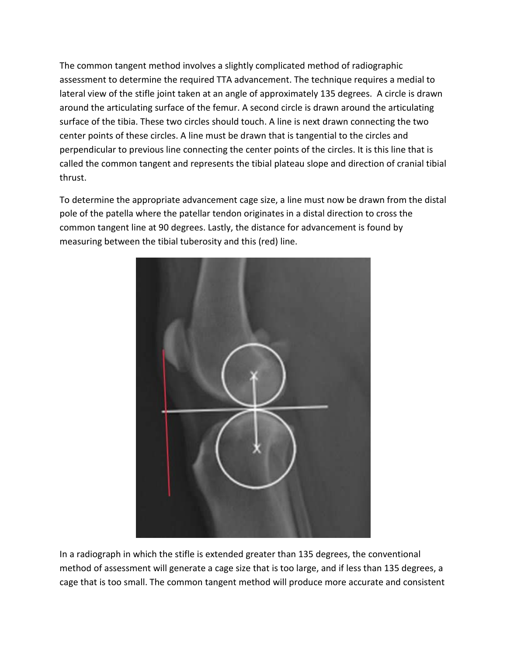The common tangent method involves a slightly complicated method of radiographic assessment to determine the required TTA advancement. The technique requires a medial to lateral view of the stifle joint taken at an angle of approximately 135 degrees. A circle is drawn around the articulating surface of the femur. A second circle is drawn around the articulating surface of the tibia. These two circles should touch. A line is next drawn connecting the two center points of these circles. A line must be drawn that is tangential to the circles and perpendicular to previous line connecting the center points of the circles. It is this line that is called the common tangent and represents the tibial plateau slope and direction of cranial tibial thrust.

To determine the appropriate advancement cage size, a line must now be drawn from the distal pole of the patella where the patellar tendon originates in a distal direction to cross the common tangent line at 90 degrees. Lastly, the distance for advancement is found by measuring between the tibial tuberosity and this (red) line.



In a radiograph in which the stifle is extended greater than 135 degrees, the conventional method of assessment will generate a cage size that is too large, and if less than 135 degrees, a cage that is too small. The common tangent method will produce more accurate and consistent